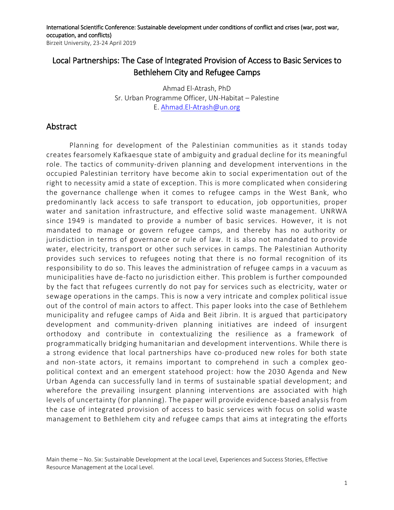International Scientific Conference: Sustainable development under conditions of conflict and crises (war, post war, occupation, and conflicts) Birzeit University, 23-24 April 2019

## Local Partnerships: The Case of Integrated Provision of Access to Basic Services to Bethlehem City and Refugee Camps

Ahmad El-Atrash, PhD Sr. Urban Programme Officer, UN-Habitat – Palestine E. [Ahmad.El-Atrash@un.org](mailto:Ahmad.El-Atrash@un.org)

## Abstract

Planning for development of the Palestinian communities as it stands today creates fearsomely Kafkaesque state of ambiguity and gradual decline for its meaningful role. The tactics of community-driven planning and development interventions in the occupied Palestinian territory have become akin to social experimentation out of the right to necessity amid a state of exception. This is more complicated when considering the governance challenge when it comes to refugee camps in the West Bank, who predominantly lack access to safe transport to education, job opportunities, proper water and sanitation infrastructure, and effective solid waste management. UNRWA since 1949 is mandated to provide a number of basic services. However, it is not mandated to manage or govern refugee camps, and thereby has no authority or jurisdiction in terms of governance or rule of law. It is also not mandated to provide water, electricity, transport or other such services in camps. The Palestinian Authority provides such services to refugees noting that there is no formal recognition of its responsibility to do so. This leaves the administration of refugee camps in a vacuum as municipalities have de-facto no jurisdiction either. This problem is further compounded by the fact that refugees currently do not pay for services such as electricity, water or sewage operations in the camps. This is now a very intricate and complex political issue out of the control of main actors to affect. This paper looks into the case of Bethlehem municipality and refugee camps of Aida and Beit Jibrin. It is argued that participatory development and community-driven planning initiatives are indeed of insurgent orthodoxy and contribute in contextualizing the resilience as a framework of programmatically bridging humanitarian and development interventions. While there is a strong evidence that local partnerships have co-produced new roles for both state and non-state actors, it remains important to comprehend in such a complex geopolitical context and an emergent statehood project: how the 2030 Agenda and New Urban Agenda can successfully land in terms of sustainable spatial development; and wherefore the prevailing insurgent planning interventions are associated with high levels of uncertainty (for planning). The paper will provide evidence-based analysis from the case of integrated provision of access to basic services with focus on solid waste management to Bethlehem city and refugee camps that aims at integrating the efforts

Main theme – No. Six: Sustainable Development at the Local Level, Experiences and Success Stories, Effective Resource Management at the Local Level.